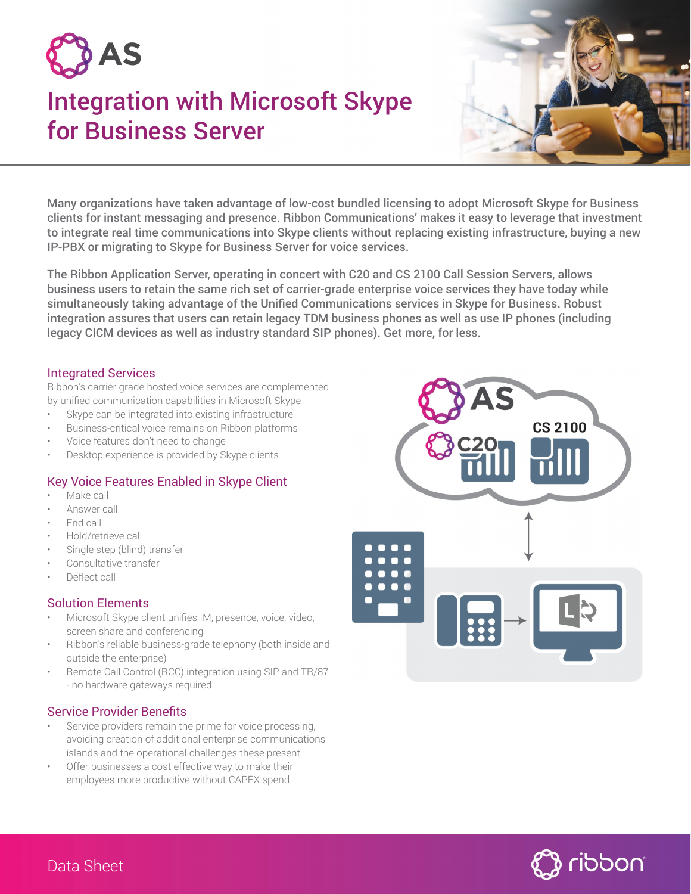

# Integration with Microsoft Skype for Business Server



Many organizations have taken advantage of low-cost bundled licensing to adopt Microsoft Skype for Business clients for instant messaging and presence. Ribbon Communications' makes it easy to leverage that investment to integrate real time communications into Skype clients without replacing existing infrastructure, buying a new IP-PBX or migrating to Skype for Business Server for voice services.

The Ribbon Application Server, operating in concert with C20 and CS 2100 Call Session Servers, allows business users to retain the same rich set of carrier-grade enterprise voice services they have today while simultaneously taking advantage of the Unified Communications services in Skype for Business. Robust integration assures that users can retain legacy TDM business phones as well as use IP phones (including legacy CICM devices as well as industry standard SIP phones). Get more, for less.

## Integrated Services

Ribbon's carrier grade hosted voice services are complemented by unified communication capabilities in Microsoft Skype

- Skype can be integrated into existing infrastructure
- Business-critical voice remains on Ribbon platforms
- Voice features don't need to change
- Desktop experience is provided by Skype clients

# Key Voice Features Enabled in Skype Client

- Make call
- Answer call
- End call
- Hold/retrieve call
- Single step (blind) transfer
- Consultative transfer
- Deflect call

#### Solution Elements

- Microsoft Skype client unifies IM, presence, voice, video, screen share and conferencing
- Ribbon's reliable business-grade telephony (both inside and outside the enterprise)
- Remote Call Control (RCC) integration using SIP and TR/87 - no hardware gateways required

#### Service Provider Benefits

- Service providers remain the prime for voice processing, avoiding creation of additional enterprise communications islands and the operational challenges these present
- Offer businesses a cost effective way to make their employees more productive without CAPEX spend